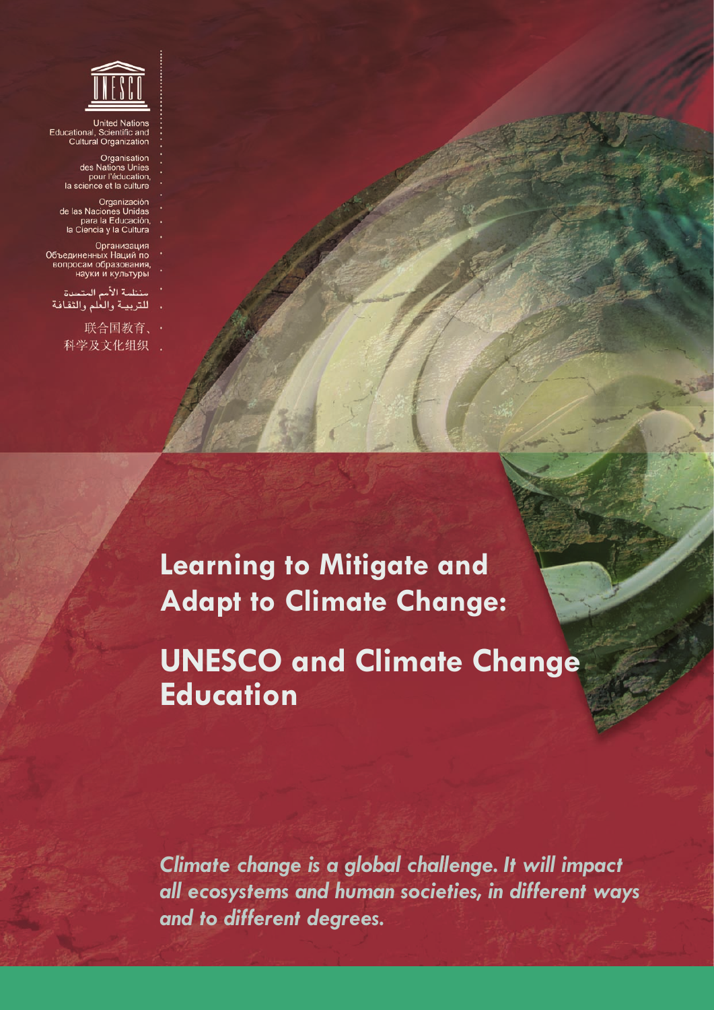

United Nations<br>Educational, Scientific and<br>Cultural Organization

Organisation Organisation<br>des Nations Unies<br>pour l'éducation,<br>la science et la culture

Organización<br>de las Naciones Unidas<br>para la Educación,<br>la Ciencia y la Cultura

Организация Объединенных Наций по<br>вопросам образования,<br>науки и культуры

منظمة الأمم المتحدة للتربية والعلم والثقافة

> 联合国教育、· 科学及文化组织 .

> > **Learning to Mitigate and Adapt to Climate Change:**

**UNESCO and Climate Change Education**

*Climate change is a global challenge. It will impact all ecosystems and human societies, in different ways and to different degrees.*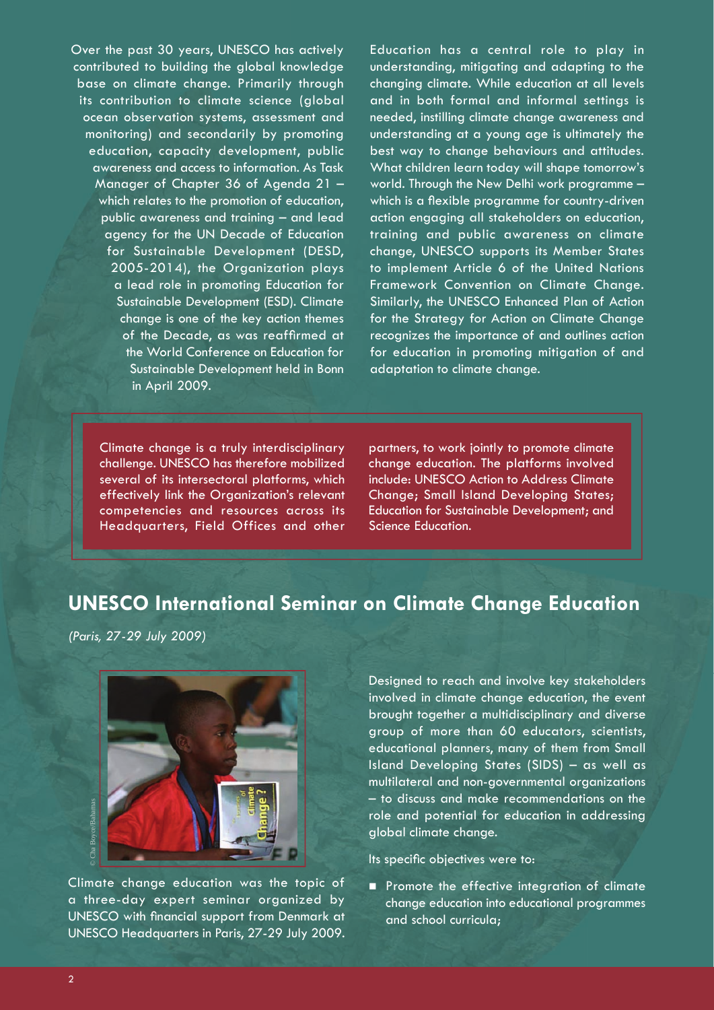Over the past 30 years, UNESCO has actively contributed to building the global knowledge base on climate change. Primarily through its contribution to climate science (global ocean observation systems, assessment and monitoring) and secondarily by promoting education, capacity development, public awareness and access to information. As Task Manager of Chapter 36 of Agenda 21 – which relates to the promotion of education, public awareness and training – and lead agency for the UN Decade of Education for Sustainable Development (DESD, 2005-2014), the Organization plays a lead role in promoting Education for Sustainable Development (ESD). Climate change is one of the key action themes of the Decade, as was reaffirmed at the World Conference on Education for Sustainable Development held in Bonn in April 2009.

Education has a central role to play in understanding, mitigating and adapting to the changing climate. While education at all levels and in both formal and informal settings is needed, instilling climate change awareness and understanding at a young age is ultimately the best way to change behaviours and attitudes. What children learn today will shape tomorrow's world. Through the New Delhi work programme – which is a flexible programme for country-driven action engaging all stakeholders on education, training and public awareness on climate change, UNESCO supports its Member States to implement Article 6 of the United Nations Framework Convention on Climate Change. Similarly, the UNESCO Enhanced Plan of Action for the Strategy for Action on Climate Change recognizes the importance of and outlines action for education in promoting mitigation of and adaptation to climate change.

Climate change is a truly interdisciplinary challenge. UNESCO has therefore mobilized several of its intersectoral platforms, which effectively link the Organization's relevant competencies and resources across its Headquarters, Field Offices and other partners, to work jointly to promote climate change education. The platforms involved include: UNESCO Action to Address Climate Change; Small Island Developing States; Education for Sustainable Development; and Science Education.

## **UNESCO International Seminar on Climate Change Education**

*(Paris, 27-29 July 2009)*



Climate change education was the topic of a three-day expert seminar organized by UNESCO with financial support from Denmark at UNESCO Headquarters in Paris, 27-29 July 2009.

Designed to reach and involve key stakeholders involved in climate change education, the event brought together a multidisciplinary and diverse group of more than 60 educators, scientists, educational planners, many of them from Small Island Developing States (SIDS) – as well as multilateral and non-governmental organizations – to discuss and make recommendations on the role and potential for education in addressing global climate change.

Its specific objectives were to:

**Promote the effective integration of climate** change education into educational programmes and school curricula;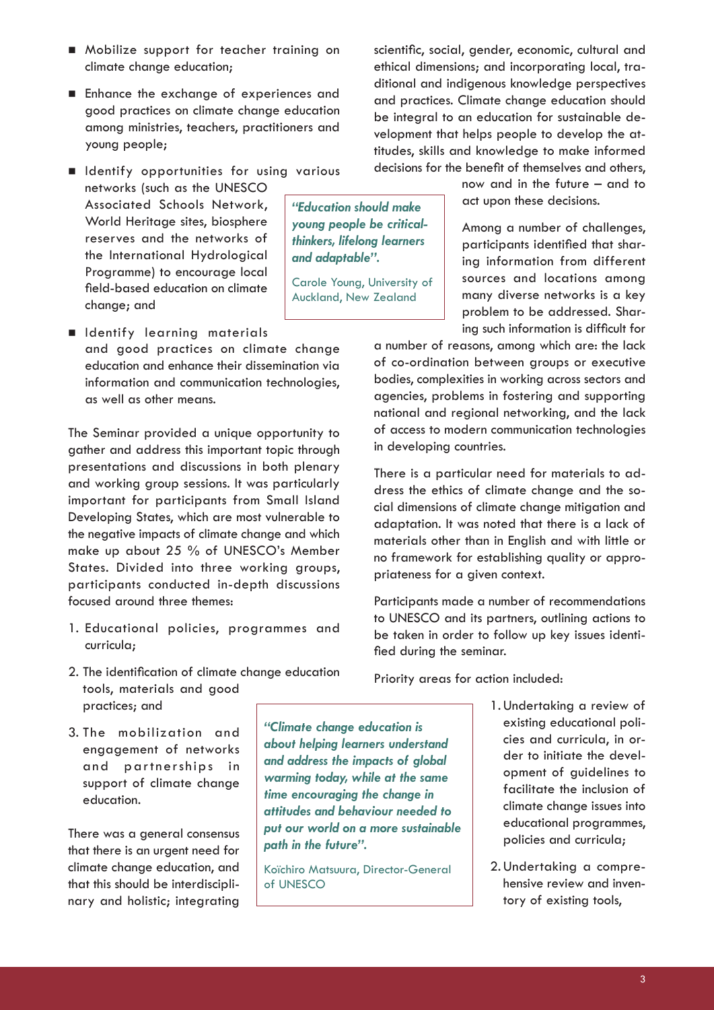3

- Mobilize support for teacher training on climate change education;
- **Enhance the exchange of experiences and** good practices on climate change education among ministries, teachers, practitioners and young people;
- **In Identify opportunities for using various** networks (such as the UNESCO Associated Schools Network, World Heritage sites, biosphere reserves and the networks of the International Hydrological Programme) to encourage local field-based education on climate change; and *"Education should make young people be criticalthinkers, lifelong learners and adaptable".* Carole Young, University of Auckland, New Zealand
- **Indentify learning materials** and good practices on climate change education and enhance their dissemination via information and communication technologies, as well as other means.

The Seminar provided a unique opportunity to gather and address this important topic through presentations and discussions in both plenary and working group sessions. It was particularly important for participants from Small Island Developing States, which are most vulnerable to the negative impacts of climate change and which make up about 25 % of UNESCO's Member States. Divided into three working groups, participants conducted in-depth discussions focused around three themes:

- 1. Educational policies, programmes and curricula;
- 2. The identification of climate change education tools, materials and good practices; and
- 3. The mobilization and engagement of networks and partnerships in support of climate change education.

There was a general consensus that there is an urgent need for climate change education, and that this should be interdisciplinary and holistic; integrating

*"Climate change education is about helping learners understand and address the impacts of global warming today, while at the same time encouraging the change in attitudes and behaviour needed to put our world on a more sustainable path in the future".*

Koïchiro Matsuura, Director-General of UNESCO

scientific, social, gender, economic, cultural and ethical dimensions; and incorporating local, traditional and indigenous knowledge perspectives and practices. Climate change education should be integral to an education for sustainable development that helps people to develop the attitudes, skills and knowledge to make informed decisions for the benefit of themselves and others,

> now and in the future – and to act upon these decisions.

Among a number of challenges, participants identified that sharing information from different sources and locations among many diverse networks is a key problem to be addressed. Sharing such information is difficult for

a number of reasons, among which are: the lack of co-ordination between groups or executive bodies, complexities in working across sectors and agencies, problems in fostering and supporting national and regional networking, and the lack of access to modern communication technologies in developing countries.

There is a particular need for materials to address the ethics of climate change and the social dimensions of climate change mitigation and adaptation. It was noted that there is a lack of materials other than in English and with little or no framework for establishing quality or appropriateness for a given context.

Participants made a number of recommendations to UNESCO and its partners, outlining actions to be taken in order to follow up key issues identified during the seminar.

Priority areas for action included:

- 1. Undertaking a review of existing educational policies and curricula, in order to initiate the development of guidelines to facilitate the inclusion of climate change issues into educational programmes, policies and curricula;
- 2. Undertaking a comprehensive review and inventory of existing tools,